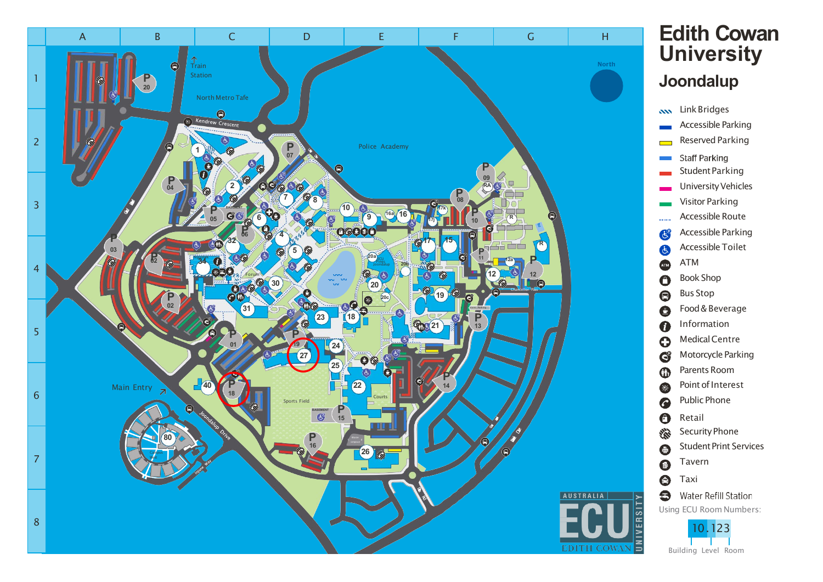

## **Edith Cowan University Joondalup**